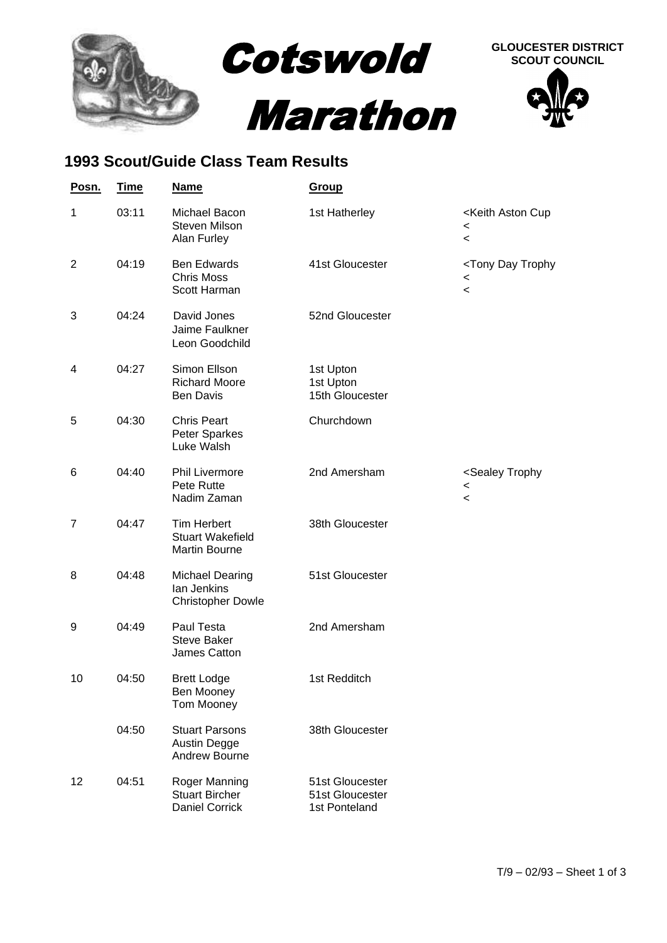

## **1993 Scout/Guide Class Team Results**

| Posn.          | <u>Time</u> | <b>Name</b>                                                           | Group                                               |                                                                                   |
|----------------|-------------|-----------------------------------------------------------------------|-----------------------------------------------------|-----------------------------------------------------------------------------------|
| 1              | 03:11       | Michael Bacon<br><b>Steven Milson</b><br>Alan Furley                  | 1st Hatherley                                       | <keith aston="" cup<br=""><math>\,&lt;\,</math><br/><math>\,&lt;\,</math></keith> |
| $\overline{2}$ | 04:19       | <b>Ben Edwards</b><br><b>Chris Moss</b><br>Scott Harman               | 41st Gloucester                                     | <tony day="" trophy<br=""><math>\,&lt;\,</math><br/><math>\,&lt;\,</math></tony>  |
| 3              | 04:24       | David Jones<br>Jaime Faulkner<br>Leon Goodchild                       | 52nd Gloucester                                     |                                                                                   |
| 4              | 04:27       | Simon Ellson<br><b>Richard Moore</b><br>Ben Davis                     | 1st Upton<br>1st Upton<br>15th Gloucester           |                                                                                   |
| 5              | 04:30       | <b>Chris Peart</b><br>Peter Sparkes<br>Luke Walsh                     | Churchdown                                          |                                                                                   |
| 6              | 04:40       | <b>Phil Livermore</b><br>Pete Rutte<br>Nadim Zaman                    | 2nd Amersham                                        | <sealey trophy<br=""><math>\,&lt;\,</math><br/><math>\,&lt;\,</math></sealey>     |
| 7              | 04:47       | <b>Tim Herbert</b><br><b>Stuart Wakefield</b><br><b>Martin Bourne</b> | 38th Gloucester                                     |                                                                                   |
| 8              | 04:48       | <b>Michael Dearing</b><br>lan Jenkins<br><b>Christopher Dowle</b>     | 51st Gloucester                                     |                                                                                   |
| 9              | 04:49       | Paul Testa<br><b>Steve Baker</b><br>James Catton                      | 2nd Amersham                                        |                                                                                   |
| 10             | 04:50       | <b>Brett Lodge</b><br>Ben Mooney<br><b>Tom Mooney</b>                 | 1st Redditch                                        |                                                                                   |
|                | 04:50       | <b>Stuart Parsons</b><br>Austin Degge<br>Andrew Bourne                | 38th Gloucester                                     |                                                                                   |
| 12             | 04:51       | Roger Manning<br><b>Stuart Bircher</b><br><b>Daniel Corrick</b>       | 51st Gloucester<br>51st Gloucester<br>1st Ponteland |                                                                                   |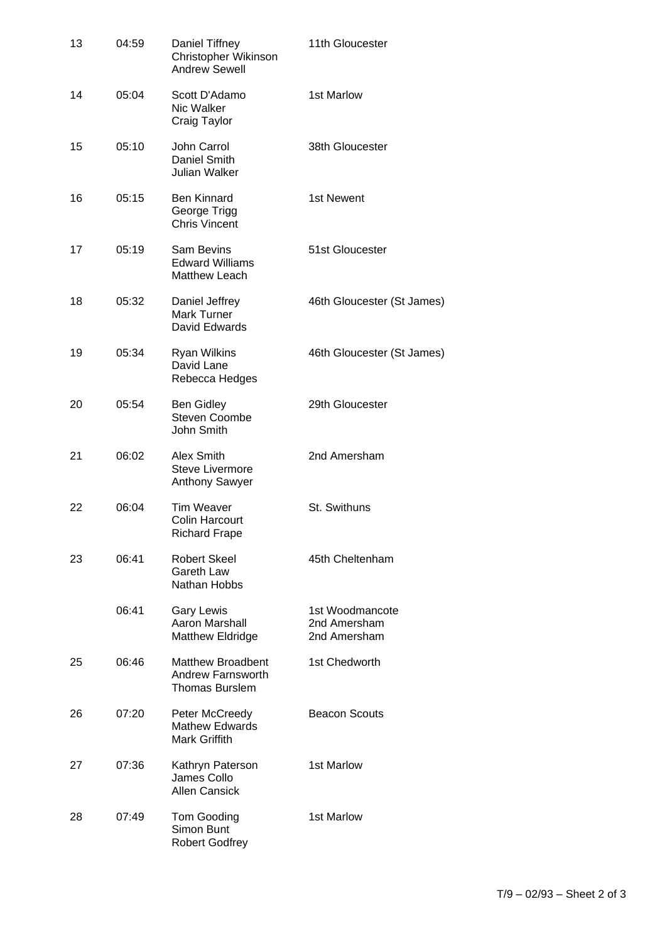| 13 | 04:59 | Daniel Tiffney<br>Christopher Wikinson<br><b>Andrew Sewell</b>         | 11th Gloucester                                 |
|----|-------|------------------------------------------------------------------------|-------------------------------------------------|
| 14 | 05:04 | Scott D'Adamo<br>Nic Walker<br>Craig Taylor                            | 1st Marlow                                      |
| 15 | 05:10 | John Carrol<br>Daniel Smith<br>Julian Walker                           | 38th Gloucester                                 |
| 16 | 05:15 | <b>Ben Kinnard</b><br>George Trigg<br><b>Chris Vincent</b>             | 1st Newent                                      |
| 17 | 05:19 | Sam Bevins<br><b>Edward Williams</b><br>Matthew Leach                  | 51st Gloucester                                 |
| 18 | 05:32 | Daniel Jeffrey<br><b>Mark Turner</b><br>David Edwards                  | 46th Gloucester (St James)                      |
| 19 | 05:34 | <b>Ryan Wilkins</b><br>David Lane<br>Rebecca Hedges                    | 46th Gloucester (St James)                      |
| 20 | 05:54 | <b>Ben Gidley</b><br><b>Steven Coombe</b><br>John Smith                | 29th Gloucester                                 |
| 21 | 06:02 | Alex Smith<br><b>Steve Livermore</b><br><b>Anthony Sawyer</b>          | 2nd Amersham                                    |
| 22 | 06:04 | <b>Tim Weaver</b><br><b>Colin Harcourt</b><br><b>Richard Frape</b>     | St. Swithuns                                    |
| 23 | 06:41 | <b>Robert Skeel</b><br>Gareth Law<br>Nathan Hobbs                      | 45th Cheltenham                                 |
|    | 06:41 | <b>Gary Lewis</b><br>Aaron Marshall<br><b>Matthew Eldridge</b>         | 1st Woodmancote<br>2nd Amersham<br>2nd Amersham |
| 25 | 06:46 | <b>Matthew Broadbent</b><br><b>Andrew Farnsworth</b><br>Thomas Burslem | 1st Chedworth                                   |
| 26 | 07:20 | Peter McCreedy<br><b>Mathew Edwards</b><br>Mark Griffith               | <b>Beacon Scouts</b>                            |
| 27 | 07:36 | Kathryn Paterson<br>James Collo<br><b>Allen Cansick</b>                | 1st Marlow                                      |
| 28 | 07:49 | Tom Gooding<br>Simon Bunt<br><b>Robert Godfrey</b>                     | 1st Marlow                                      |